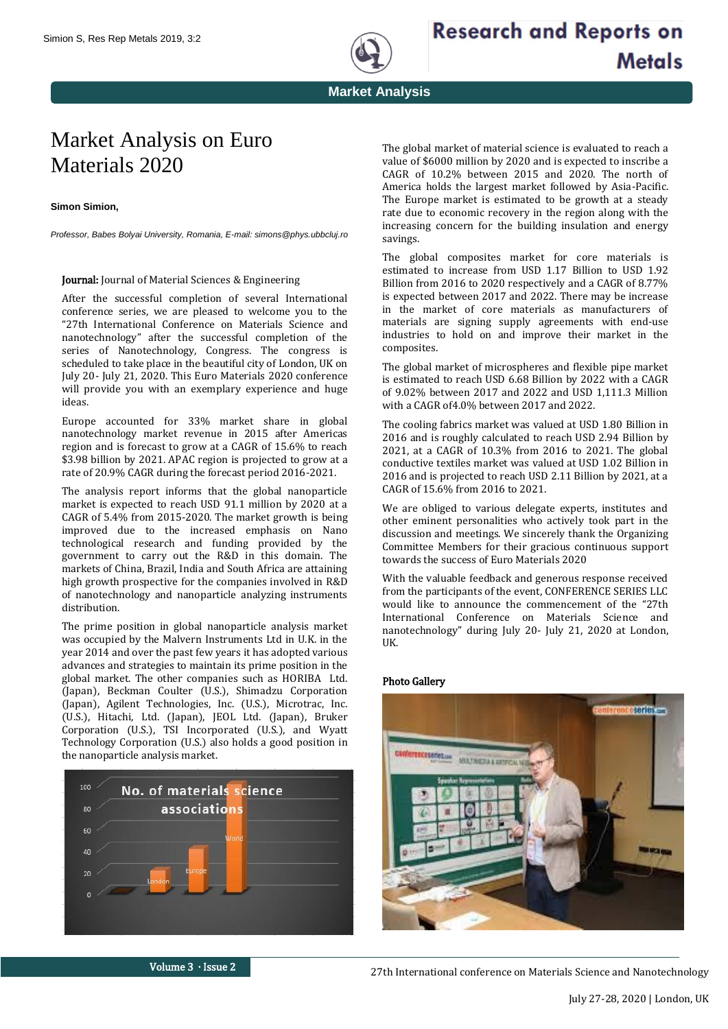

## Market Analysis on Euro Materials 2020

**Simon Simion,**

*Professor, Babes Bolyai University, Romania, E-mail: simons@phys.ubbcluj.ro*

## Journal: Journal of Material Sciences & Engineering

After the successful completion of several International conference series, we are pleased to welcome you to the "27th International Conference on Materials Science and nanotechnology" after the successful completion of the series of Nanotechnology, Congress. The congress is scheduled to take place in the beautiful city of London, UK on July 20- July 21, 2020. This Euro Materials 2020 conference will provide you with an exemplary experience and huge ideas.

Europe accounted for 33% market share in global nanotechnology market revenue in 2015 after Americas region and is forecast to grow at a CAGR of 15.6% to reach \$3.98 billion by 2021. APAC region is projected to grow at a rate of 20.9% CAGR during the forecast period 2016-2021.

The analysis report informs that the global nanoparticle market is expected to reach USD 91.1 million by 2020 at a CAGR of 5.4% from 2015-2020. The market growth is being improved due to the increased emphasis on Nano technological research and funding provided by the government to carry out the R&D in this domain. The markets of China, Brazil, India and South Africa are attaining high growth prospective for the companies involved in R&D of nanotechnology and nanoparticle analyzing instruments distribution.

The prime position in global nanoparticle analysis market was occupied by the Malvern Instruments Ltd in U.K. in the year 2014 and over the past few years it has adopted various advances and strategies to maintain its prime position in the global market. The other companies such as HORIBA Ltd. (Japan), Beckman Coulter (U.S.), Shimadzu Corporation (Japan), Agilent Technologies, Inc. (U.S.), Microtrac, Inc. (U.S.), Hitachi, Ltd. (Japan), JEOL Ltd. (Japan), Bruker Corporation (U.S.), TSI Incorporated (U.S.), and Wyatt Technology Corporation (U.S.) also holds a good position in the nanoparticle analysis market.



The global market of material science is evaluated to reach a value of \$6000 million by 2020 and is expected to inscribe a CAGR of 10.2% between 2015 and 2020. The north of America holds the largest market followed by Asia-Pacific. The Europe market is estimated to be growth at a steady rate due to economic recovery in the region along with the increasing concern for the building insulation and energy savings.

**Metals** 

The global composites market for core materials is estimated to increase from USD 1.17 Billion to USD 1.92 Billion from 2016 to 2020 respectively and a CAGR of 8.77% is expected between 2017 and 2022. There may be increase in the market of core materials as manufacturers of materials are signing supply agreements with end-use industries to hold on and improve their market in the composites.

The global market of microspheres and flexible pipe market is estimated to reach USD 6.68 Billion by 2022 with a CAGR of 9.02% between 2017 and 2022 and USD 1,111.3 Million with a CAGR of4.0% between 2017 and 2022.

The cooling fabrics market was valued at USD 1.80 Billion in 2016 and is roughly calculated to reach USD 2.94 Billion by 2021, at a CAGR of 10.3% from 2016 to 2021. The global conductive textiles market was valued at USD 1.02 Billion in 2016 and is projected to reach USD 2.11 Billion by 2021, at a CAGR of 15.6% from 2016 to 2021.

We are obliged to various delegate experts, institutes and other eminent personalities who actively took part in the discussion and meetings. We sincerely thank the Organizing Committee Members for their gracious continuous support towards the success of Euro Materials 2020

With the valuable feedback and generous response received from the participants of the event, CONFERENCE SERIES LLC would like to announce the commencement of the "27th International Conference on Materials Science and nanotechnology" during July 20- July 21, 2020 at London, UK.

## Photo Gallery



Volume 3 ∙ Issue 2

27th International conference on Materials Science and Nanotechnology